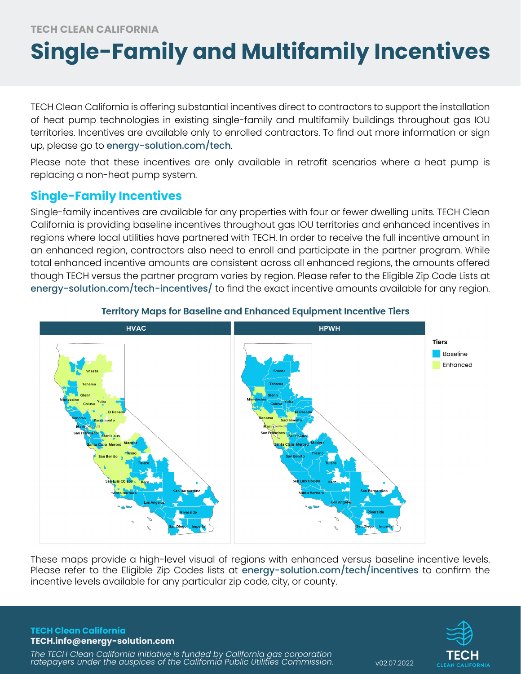# **Single-Family and Multifamily Incentives**

TECH Clean California is offering substantial incentives direct to contractors to support the installation of heat pump technologies in existing single-family and multifamily buildings throughout gas IOU territories. Incentives are available only to enrolled contractors. To find out more information or sign up, please go to [energy-solution.com/tech](http://www.energy-solution.com/tech.).

Please note that these incentives are only available in retrofit scenarios where a heat pump is replacing a non-heat pump system.

# **Single-Family Incentives**

Single-family incentives are available for any properties with four or fewer dwelling units. TECH Clean California is providing baseline incentives throughout gas IOU territories and enhanced incentives in regions where local utilities have partnered with TECH. In order to receive the full incentive amount in an enhanced region, contractors also need to enroll and participate in the partner program. While total enhanced incentive amounts are consistent across all enhanced regions, the amounts offered though TECH versus the partner program varies by region. Please refer to the Eligible Zip Code Lists at [energy-solution.com/tech-incentives/](http://energy-solution.com/tech-incentives/) to find the exact incentive amounts available for any region.



### **Territory Maps for Baseline and Enhanced Equipment Incentive Tiers**

These maps provide a high-level visual of regions with enhanced versus baseline incentive levels. Please refer to the Eligible Zip Codes lists at [energy-solution.com/tech/incentives](https://energy-solution.com/tech-incentives/) to confirm the incentive levels available for any particular zip code, city, or county.

**TECH Clean California TECH.info@energy-solution.com**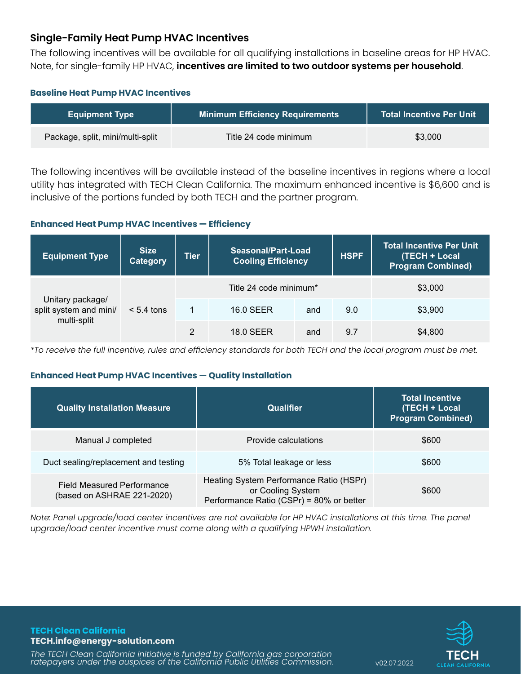## **Single-Family Heat Pump HVAC Incentives**

The following incentives will be available for all qualifying installations in baseline areas for HP HVAC. Note, for single-family HP HVAC, **incentives are limited to two outdoor systems per household**.

#### **Baseline Heat Pump HVAC Incentives**

| <b>Equipment Type</b>            | <b>Minimum Efficiency Requirements</b> | <b>Total Incentive Per Unit</b> |
|----------------------------------|----------------------------------------|---------------------------------|
| Package, split, mini/multi-split | Title 24 code minimum                  | \$3,000                         |

The following incentives will be available instead of the baseline incentives in regions where a local utility has integrated with TECH Clean California. The maximum enhanced incentive is \$6,600 and is inclusive of the portions funded by both TECH and the partner program.

#### **Enhanced Heat Pump HVAC Incentives — Efficiency**

| <b>Equipment Type</b>                                     | <b>Size</b><br><b>Category</b> | <b>Tier</b> | Seasonal/Part-Load<br><b>Cooling Efficiency</b> |     | <b>HSPF</b> | <b>Total Incentive Per Unit</b><br>(TECH + Local<br><b>Program Combined)</b> |
|-----------------------------------------------------------|--------------------------------|-------------|-------------------------------------------------|-----|-------------|------------------------------------------------------------------------------|
| Unitary package/<br>split system and mini/<br>multi-split |                                |             | Title 24 code minimum*                          |     |             | \$3,000                                                                      |
|                                                           | $< 5.4$ tons                   | 1           | 16.0 SEER                                       | and | 9.0         | \$3,900                                                                      |
|                                                           |                                | 2           | 18.0 SEER                                       | and | 9.7         | \$4,800                                                                      |

*\*To receive the full incentive, rules and efficiency standards for both TECH and the local program must be met.*

#### **Enhanced Heat Pump HVAC Incentives — Quality Installation**

| <b>Quality Installation Measure</b>                      | Qualifier                                                                                                | <b>Total Incentive</b><br>(TECH + Local<br><b>Program Combined)</b> |
|----------------------------------------------------------|----------------------------------------------------------------------------------------------------------|---------------------------------------------------------------------|
| Manual J completed                                       | Provide calculations                                                                                     | \$600                                                               |
| Duct sealing/replacement and testing                     | 5% Total leakage or less                                                                                 | \$600                                                               |
| Field Measured Performance<br>(based on ASHRAE 221-2020) | Heating System Performance Ratio (HSPr)<br>or Cooling System<br>Performance Ratio (CSPr) = 80% or better | \$600                                                               |

*Note: Panel upgrade/load center incentives are not available for HP HVAC installations at this time. The panel upgrade/load center incentive must come along with a qualifying HPWH installation.*

**TECH Clean California TECH.info@energy-solution.com**

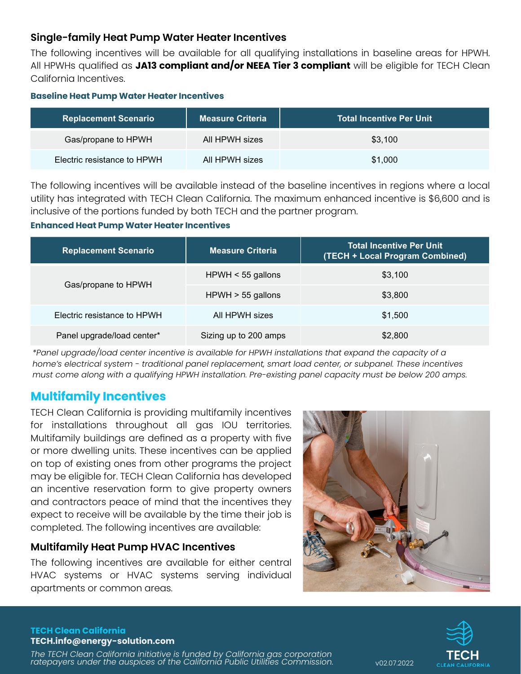## **Single-family Heat Pump Water Heater Incentives**

The following incentives will be available for all qualifying installations in baseline areas for HPWH. All HPWHs qualified as **JA13 compliant and/or NEEA Tier 3 compliant** will be eligible for TECH Clean California Incentives.

#### **Baseline Heat Pump Water Heater Incentives**

| <b>Replacement Scenario</b> | <b>Measure Criteria</b> | <b>Total Incentive Per Unit</b> |
|-----------------------------|-------------------------|---------------------------------|
| Gas/propane to HPWH         | All HPWH sizes          | \$3.100                         |
| Electric resistance to HPWH | All HPWH sizes          | \$1,000                         |

The following incentives will be available instead of the baseline incentives in regions where a local utility has integrated with TECH Clean California. The maximum enhanced incentive is \$6,600 and is inclusive of the portions funded by both TECH and the partner program.

#### **Enhanced Heat Pump Water Heater Incentives**

| <b>Replacement Scenario</b> | <b>Measure Criteria</b> | <b>Total Incentive Per Unit</b><br>(TECH + Local Program Combined) |
|-----------------------------|-------------------------|--------------------------------------------------------------------|
|                             | $HPWH < 55$ gallons     | \$3.100                                                            |
| Gas/propane to HPWH         | $HPWH > 55$ gallons     | \$3.800                                                            |
| Electric resistance to HPWH | All HPWH sizes          | \$1,500                                                            |
| Panel upgrade/load center*  | Sizing up to 200 amps   | \$2,800                                                            |

*\*Panel upgrade/load center incentive is available for HPWH installations that expand the capacity of a home's electrical system - traditional panel replacement, smart load center, or subpanel. These incentives must come along with a qualifying HPWH installation. Pre-existing panel capacity must be below 200 amps.* 

## **Multifamily Incentives**

TECH Clean California is providing multifamily incentives for installations throughout all gas IOU territories. Multifamily buildings are defined as a property with five or more dwelling units. These incentives can be applied on top of existing ones from other programs the project may be eligible for. TECH Clean California has developed an incentive reservation form to give property owners and contractors peace of mind that the incentives they expect to receive will be available by the time their job is completed. The following incentives are available:

## **Multifamily Heat Pump HVAC Incentives**

The following incentives are available for either central HVAC systems or HVAC systems serving individual apartments or common areas.





#### **TECH Clean California TECH.info@energy-solution.com**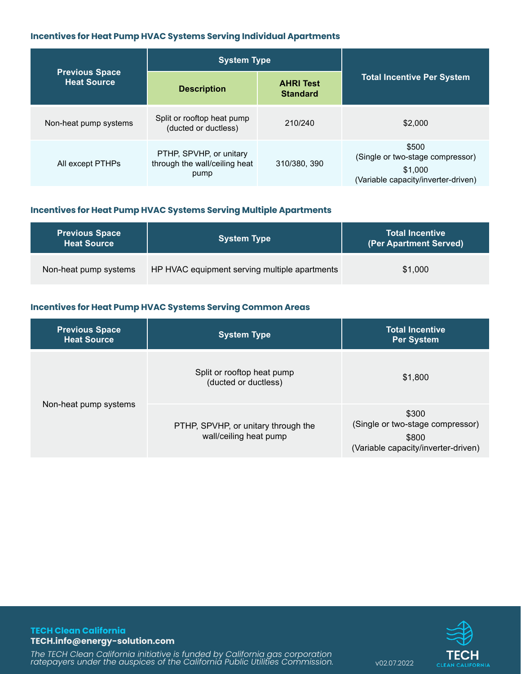#### **Incentives for Heat Pump HVAC Systems Serving Individual Apartments**

|                                             | <b>System Type</b>                                               |                                     |                                                                                             |
|---------------------------------------------|------------------------------------------------------------------|-------------------------------------|---------------------------------------------------------------------------------------------|
| <b>Previous Space</b><br><b>Heat Source</b> | <b>Description</b>                                               | <b>AHRI Test</b><br><b>Standard</b> | <b>Total Incentive Per System</b>                                                           |
| Non-heat pump systems                       | Split or rooftop heat pump<br>(ducted or ductless)               | 210/240                             | \$2,000                                                                                     |
| All except PTHPs                            | PTHP, SPVHP, or unitary<br>through the wall/ceiling heat<br>pump | 310/380, 390                        | \$500<br>(Single or two-stage compressor)<br>\$1,000<br>(Variable capacity/inverter-driven) |

#### **Incentives for Heat Pump HVAC Systems Serving Multiple Apartments**

| <b>Previous Space</b><br><b>Heat Source</b> | <b>System Type</b>                            | <b>Total Incentive</b><br>(Per Apartment Served) |
|---------------------------------------------|-----------------------------------------------|--------------------------------------------------|
| Non-heat pump systems                       | HP HVAC equipment serving multiple apartments | \$1,000                                          |

#### **Incentives for Heat Pump HVAC Systems Serving Common Areas**

| <b>Previous Space</b><br><b>Heat Source</b> | <b>System Type</b>                                            | <b>Total Incentive</b><br><b>Per System</b>                                               |
|---------------------------------------------|---------------------------------------------------------------|-------------------------------------------------------------------------------------------|
|                                             | Split or rooftop heat pump<br>(ducted or ductless)            | \$1,800                                                                                   |
| Non-heat pump systems                       | PTHP, SPVHP, or unitary through the<br>wall/ceiling heat pump | \$300<br>(Single or two-stage compressor)<br>\$800<br>(Variable capacity/inverter-driven) |

**TECH Clean California TECH.info@energy-solution.com**